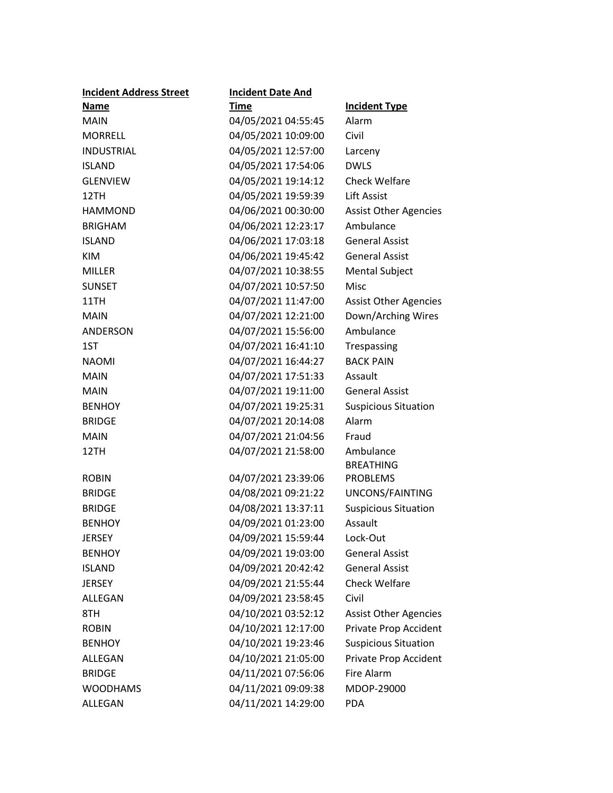| <b>Incident Address Street</b> | <b>Incident Date And</b> |                              |
|--------------------------------|--------------------------|------------------------------|
| Name                           | <b>Time</b>              | <b>Incident Type</b>         |
| <b>MAIN</b>                    | 04/05/2021 04:55:45      | Alarm                        |
| <b>MORRELL</b>                 | 04/05/2021 10:09:00      | Civil                        |
| <b>INDUSTRIAL</b>              | 04/05/2021 12:57:00      | Larceny                      |
| <b>ISLAND</b>                  | 04/05/2021 17:54:06      | <b>DWLS</b>                  |
| <b>GLENVIEW</b>                | 04/05/2021 19:14:12      | <b>Check Welfare</b>         |
| 12TH                           | 04/05/2021 19:59:39      | <b>Lift Assist</b>           |
| <b>HAMMOND</b>                 | 04/06/2021 00:30:00      | <b>Assist Other Agencies</b> |
| <b>BRIGHAM</b>                 | 04/06/2021 12:23:17      | Ambulance                    |
| <b>ISLAND</b>                  | 04/06/2021 17:03:18      | <b>General Assist</b>        |
| <b>KIM</b>                     | 04/06/2021 19:45:42      | <b>General Assist</b>        |
| <b>MILLER</b>                  | 04/07/2021 10:38:55      | <b>Mental Subject</b>        |
| <b>SUNSET</b>                  | 04/07/2021 10:57:50      | <b>Misc</b>                  |
| 11TH                           | 04/07/2021 11:47:00      | <b>Assist Other Agencies</b> |
| <b>MAIN</b>                    | 04/07/2021 12:21:00      | Down/Arching Wires           |
| ANDERSON                       | 04/07/2021 15:56:00      | Ambulance                    |
| 1ST                            | 04/07/2021 16:41:10      | Trespassing                  |
| <b>NAOMI</b>                   | 04/07/2021 16:44:27      | <b>BACK PAIN</b>             |
| <b>MAIN</b>                    | 04/07/2021 17:51:33      | Assault                      |
| <b>MAIN</b>                    | 04/07/2021 19:11:00      | <b>General Assist</b>        |
| <b>BENHOY</b>                  | 04/07/2021 19:25:31      | <b>Suspicious Situation</b>  |
| <b>BRIDGE</b>                  | 04/07/2021 20:14:08      | Alarm                        |
| <b>MAIN</b>                    | 04/07/2021 21:04:56      | Fraud                        |
| 12TH                           | 04/07/2021 21:58:00      | Ambulance                    |
|                                |                          | <b>BREATHING</b>             |
| <b>ROBIN</b>                   | 04/07/2021 23:39:06      | <b>PROBLEMS</b>              |
| <b>BRIDGE</b>                  | 04/08/2021 09:21:22      | UNCONS/FAINTING              |
| <b>BRIDGE</b>                  | 04/08/2021 13:37:11      | <b>Suspicious Situation</b>  |
| <b>BENHOY</b>                  | 04/09/2021 01:23:00      | Assault                      |
| <b>JERSEY</b>                  | 04/09/2021 15:59:44      | Lock-Out                     |
| <b>BENHOY</b>                  | 04/09/2021 19:03:00      | <b>General Assist</b>        |
| <b>ISLAND</b>                  | 04/09/2021 20:42:42      | <b>General Assist</b>        |
| <b>JERSEY</b>                  | 04/09/2021 21:55:44      | <b>Check Welfare</b>         |
| ALLEGAN                        | 04/09/2021 23:58:45      | Civil                        |
| 8TH                            | 04/10/2021 03:52:12      | <b>Assist Other Agencies</b> |
| <b>ROBIN</b>                   | 04/10/2021 12:17:00      | Private Prop Accident        |
| <b>BENHOY</b>                  | 04/10/2021 19:23:46      | <b>Suspicious Situation</b>  |
| ALLEGAN                        | 04/10/2021 21:05:00      | Private Prop Accident        |
| <b>BRIDGE</b>                  | 04/11/2021 07:56:06      | Fire Alarm                   |
| <b>WOODHAMS</b>                | 04/11/2021 09:09:38      | MDOP-29000                   |
| ALLEGAN                        | 04/11/2021 14:29:00      | <b>PDA</b>                   |